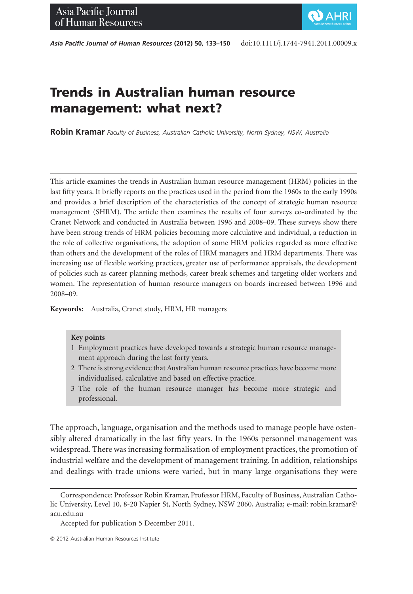*Asia Pacific Journal of Human Resources* **(2012) 50, 133–150** doi:10.1111/j.1744-7941.2011.00009.x

# **Trends in Australian human resource management: what next?**

**Robin Kramar** *Faculty of Business, Australian Catholic University, North Sydney, NSW, Australia*

This article examines the trends in Australian human resource management (HRM) policies in the last fifty years. It briefly reports on the practices used in the period from the 1960s to the early 1990s and provides a brief description of the characteristics of the concept of strategic human resource management (SHRM). The article then examines the results of four surveys co-ordinated by the Cranet Network and conducted in Australia between 1996 and 2008–09. These surveys show there have been strong trends of HRM policies becoming more calculative and individual, a reduction in the role of collective organisations, the adoption of some HRM policies regarded as more effective than others and the development of the roles of HRM managers and HRM departments. There was increasing use of flexible working practices, greater use of performance appraisals, the development of policies such as career planning methods, career break schemes and targeting older workers and women. The representation of human resource managers on boards increased between 1996 and 2008–09.

**Keywords:** Australia, Cranet study, HRM, HR managers

#### **Key points**

- 1 Employment practices have developed towards a strategic human resource management approach during the last forty years.
- 2 There is strong evidence that Australian human resource practices have become more individualised, calculative and based on effective practice.
- 3 The role of the human resource manager has become more strategic and professional.

The approach, language, organisation and the methods used to manage people have ostensibly altered dramatically in the last fifty years. In the 1960s personnel management was widespread. There was increasing formalisation of employment practices, the promotion of industrial welfare and the development of management training. In addition, relationships and dealings with trade unions were varied, but in many large organisations they were

Correspondence: Professor Robin Kramar, Professor HRM, Faculty of Business, Australian Catholic University, Level 10, 8-20 Napier St, North Sydney, NSW 2060, Australia; e-mail: robin.kramar@ acu.edu.au

Accepted for publication 5 December 2011.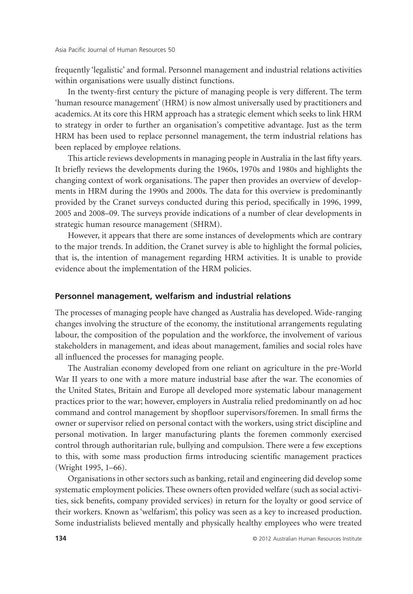frequently 'legalistic' and formal. Personnel management and industrial relations activities within organisations were usually distinct functions.

In the twenty-first century the picture of managing people is very different. The term 'human resource management' (HRM) is now almost universally used by practitioners and academics. At its core this HRM approach has a strategic element which seeks to link HRM to strategy in order to further an organisation's competitive advantage. Just as the term HRM has been used to replace personnel management, the term industrial relations has been replaced by employee relations.

This article reviews developments in managing people in Australia in the last fifty years. It briefly reviews the developments during the 1960s, 1970s and 1980s and highlights the changing context of work organisations. The paper then provides an overview of developments in HRM during the 1990s and 2000s. The data for this overview is predominantly provided by the Cranet surveys conducted during this period, specifically in 1996, 1999, 2005 and 2008–09. The surveys provide indications of a number of clear developments in strategic human resource management (SHRM).

However, it appears that there are some instances of developments which are contrary to the major trends. In addition, the Cranet survey is able to highlight the formal policies, that is, the intention of management regarding HRM activities. It is unable to provide evidence about the implementation of the HRM policies.

#### **Personnel management, welfarism and industrial relations**

The processes of managing people have changed as Australia has developed. Wide-ranging changes involving the structure of the economy, the institutional arrangements regulating labour, the composition of the population and the workforce, the involvement of various stakeholders in management, and ideas about management, families and social roles have all influenced the processes for managing people.

The Australian economy developed from one reliant on agriculture in the pre-World War II years to one with a more mature industrial base after the war. The economies of the United States, Britain and Europe all developed more systematic labour management practices prior to the war; however, employers in Australia relied predominantly on ad hoc command and control management by shopfloor supervisors/foremen. In small firms the owner or supervisor relied on personal contact with the workers, using strict discipline and personal motivation. In larger manufacturing plants the foremen commonly exercised control through authoritarian rule, bullying and compulsion. There were a few exceptions to this, with some mass production firms introducing scientific management practices (Wright 1995, 1–66).

Organisations in other sectors such as banking, retail and engineering did develop some systematic employment policies. These owners often provided welfare (such as social activities, sick benefits, company provided services) in return for the loyalty or good service of their workers. Known as 'welfarism', this policy was seen as a key to increased production. Some industrialists believed mentally and physically healthy employees who were treated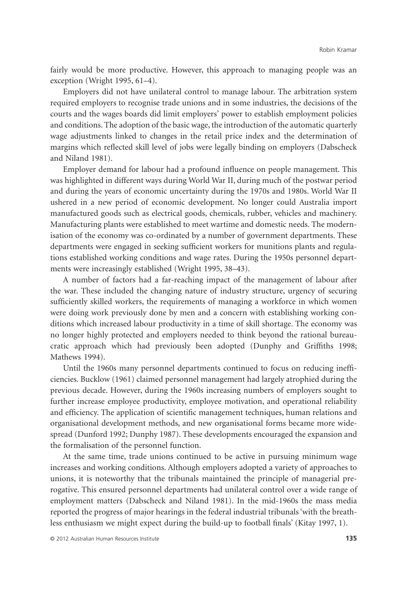fairly would be more productive. However, this approach to managing people was an exception (Wright 1995, 61–4).

Employers did not have unilateral control to manage labour. The arbitration system required employers to recognise trade unions and in some industries, the decisions of the courts and the wages boards did limit employers' power to establish employment policies and conditions. The adoption of the basic wage, the introduction of the automatic quarterly wage adjustments linked to changes in the retail price index and the determination of margins which reflected skill level of jobs were legally binding on employers (Dabscheck and Niland 1981).

Employer demand for labour had a profound influence on people management. This was highlighted in different ways during World War II, during much of the postwar period and during the years of economic uncertainty during the 1970s and 1980s. World War II ushered in a new period of economic development. No longer could Australia import manufactured goods such as electrical goods, chemicals, rubber, vehicles and machinery. Manufacturing plants were established to meet wartime and domestic needs. The modernisation of the economy was co-ordinated by a number of government departments. These departments were engaged in seeking sufficient workers for munitions plants and regulations established working conditions and wage rates. During the 1950s personnel departments were increasingly established (Wright 1995, 38–43).

A number of factors had a far-reaching impact of the management of labour after the war. These included the changing nature of industry structure, urgency of securing sufficiently skilled workers, the requirements of managing a workforce in which women were doing work previously done by men and a concern with establishing working conditions which increased labour productivity in a time of skill shortage. The economy was no longer highly protected and employers needed to think beyond the rational bureaucratic approach which had previously been adopted (Dunphy and Griffiths 1998; Mathews 1994).

Until the 1960s many personnel departments continued to focus on reducing inefficiencies. Bucklow (1961) claimed personnel management had largely atrophied during the previous decade. However, during the 1960s increasing numbers of employers sought to further increase employee productivity, employee motivation, and operational reliability and efficiency. The application of scientific management techniques, human relations and organisational development methods, and new organisational forms became more widespread (Dunford 1992; Dunphy 1987). These developments encouraged the expansion and the formalisation of the personnel function.

At the same time, trade unions continued to be active in pursuing minimum wage increases and working conditions. Although employers adopted a variety of approaches to unions, it is noteworthy that the tribunals maintained the principle of managerial prerogative. This ensured personnel departments had unilateral control over a wide range of employment matters (Dabscheck and Niland 1981). In the mid-1960s the mass media reported the progress of major hearings in the federal industrial tribunals 'with the breathless enthusiasm we might expect during the build-up to football finals' (Kitay 1997, 1).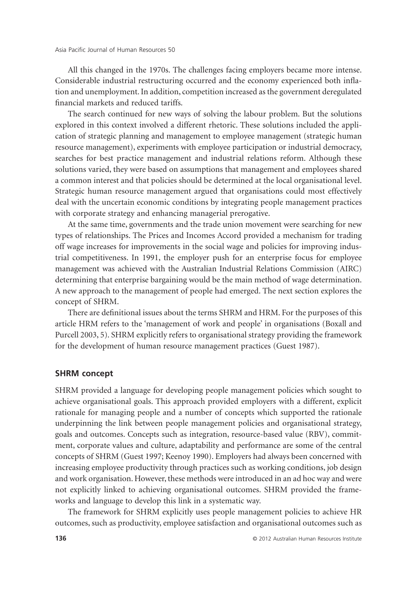All this changed in the 1970s. The challenges facing employers became more intense. Considerable industrial restructuring occurred and the economy experienced both inflation and unemployment. In addition, competition increased as the government deregulated financial markets and reduced tariffs.

The search continued for new ways of solving the labour problem. But the solutions explored in this context involved a different rhetoric. These solutions included the application of strategic planning and management to employee management (strategic human resource management), experiments with employee participation or industrial democracy, searches for best practice management and industrial relations reform. Although these solutions varied, they were based on assumptions that management and employees shared a common interest and that policies should be determined at the local organisational level. Strategic human resource management argued that organisations could most effectively deal with the uncertain economic conditions by integrating people management practices with corporate strategy and enhancing managerial prerogative.

At the same time, governments and the trade union movement were searching for new types of relationships. The Prices and Incomes Accord provided a mechanism for trading off wage increases for improvements in the social wage and policies for improving industrial competitiveness. In 1991, the employer push for an enterprise focus for employee management was achieved with the Australian Industrial Relations Commission (AIRC) determining that enterprise bargaining would be the main method of wage determination. A new approach to the management of people had emerged. The next section explores the concept of SHRM.

There are definitional issues about the terms SHRM and HRM. For the purposes of this article HRM refers to the 'management of work and people' in organisations (Boxall and Purcell 2003, 5). SHRM explicitly refers to organisational strategy providing the framework for the development of human resource management practices (Guest 1987).

## **SHRM concept**

SHRM provided a language for developing people management policies which sought to achieve organisational goals. This approach provided employers with a different, explicit rationale for managing people and a number of concepts which supported the rationale underpinning the link between people management policies and organisational strategy, goals and outcomes. Concepts such as integration, resource-based value (RBV), commitment, corporate values and culture, adaptability and performance are some of the central concepts of SHRM (Guest 1997; Keenoy 1990). Employers had always been concerned with increasing employee productivity through practices such as working conditions, job design and work organisation. However, these methods were introduced in an ad hoc way and were not explicitly linked to achieving organisational outcomes. SHRM provided the frameworks and language to develop this link in a systematic way.

The framework for SHRM explicitly uses people management policies to achieve HR outcomes, such as productivity, employee satisfaction and organisational outcomes such as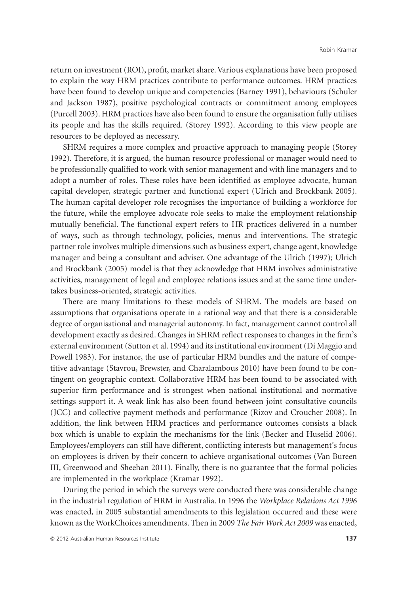return on investment (ROI), profit, market share. Various explanations have been proposed to explain the way HRM practices contribute to performance outcomes. HRM practices have been found to develop unique and competencies (Barney 1991), behaviours (Schuler and Jackson 1987), positive psychological contracts or commitment among employees (Purcell 2003). HRM practices have also been found to ensure the organisation fully utilises its people and has the skills required. (Storey 1992). According to this view people are resources to be deployed as necessary.

SHRM requires a more complex and proactive approach to managing people (Storey 1992). Therefore, it is argued, the human resource professional or manager would need to be professionally qualified to work with senior management and with line managers and to adopt a number of roles. These roles have been identified as employee advocate, human capital developer, strategic partner and functional expert (Ulrich and Brockbank 2005). The human capital developer role recognises the importance of building a workforce for the future, while the employee advocate role seeks to make the employment relationship mutually beneficial. The functional expert refers to HR practices delivered in a number of ways, such as through technology, policies, menus and interventions. The strategic partner role involves multiple dimensions such as business expert, change agent, knowledge manager and being a consultant and adviser. One advantage of the Ulrich (1997); Ulrich and Brockbank (2005) model is that they acknowledge that HRM involves administrative activities, management of legal and employee relations issues and at the same time undertakes business-oriented, strategic activities.

There are many limitations to these models of SHRM. The models are based on assumptions that organisations operate in a rational way and that there is a considerable degree of organisational and managerial autonomy. In fact, management cannot control all development exactly as desired. Changes in SHRM reflect responses to changes in the firm's external environment (Sutton et al. 1994) and its institutional environment (Di Maggio and Powell 1983). For instance, the use of particular HRM bundles and the nature of competitive advantage (Stavrou, Brewster, and Charalambous 2010) have been found to be contingent on geographic context. Collaborative HRM has been found to be associated with superior firm performance and is strongest when national institutional and normative settings support it. A weak link has also been found between joint consultative councils (JCC) and collective payment methods and performance (Rizov and Croucher 2008). In addition, the link between HRM practices and performance outcomes consists a black box which is unable to explain the mechanisms for the link (Becker and Huselid 2006). Employees/employers can still have different, conflicting interests but management's focus on employees is driven by their concern to achieve organisational outcomes (Van Bureen III, Greenwood and Sheehan 2011). Finally, there is no guarantee that the formal policies are implemented in the workplace (Kramar 1992).

During the period in which the surveys were conducted there was considerable change in the industrial regulation of HRM in Australia. In 1996 the *Workplace Relations Act 1996* was enacted, in 2005 substantial amendments to this legislation occurred and these were known as the WorkChoices amendments. Then in 2009 *The Fair Work Act 2009* was enacted,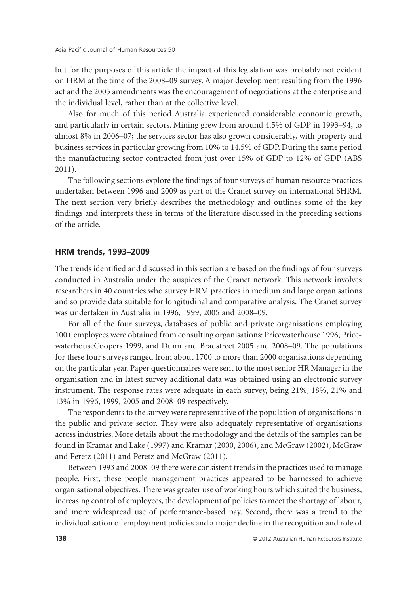but for the purposes of this article the impact of this legislation was probably not evident on HRM at the time of the 2008–09 survey. A major development resulting from the 1996 act and the 2005 amendments was the encouragement of negotiations at the enterprise and the individual level, rather than at the collective level.

Also for much of this period Australia experienced considerable economic growth, and particularly in certain sectors. Mining grew from around 4.5% of GDP in 1993–94, to almost 8% in 2006–07; the services sector has also grown considerably, with property and business services in particular growing from 10% to 14.5% of GDP. During the same period the manufacturing sector contracted from just over 15% of GDP to 12% of GDP (ABS 2011).

The following sections explore the findings of four surveys of human resource practices undertaken between 1996 and 2009 as part of the Cranet survey on international SHRM. The next section very briefly describes the methodology and outlines some of the key findings and interprets these in terms of the literature discussed in the preceding sections of the article.

#### **HRM trends, 1993–2009**

The trends identified and discussed in this section are based on the findings of four surveys conducted in Australia under the auspices of the Cranet network. This network involves researchers in 40 countries who survey HRM practices in medium and large organisations and so provide data suitable for longitudinal and comparative analysis. The Cranet survey was undertaken in Australia in 1996, 1999, 2005 and 2008–09.

For all of the four surveys, databases of public and private organisations employing 100+ employees were obtained from consulting organisations: Pricewaterhouse 1996, PricewaterhouseCoopers 1999, and Dunn and Bradstreet 2005 and 2008–09. The populations for these four surveys ranged from about 1700 to more than 2000 organisations depending on the particular year. Paper questionnaires were sent to the most senior HR Manager in the organisation and in latest survey additional data was obtained using an electronic survey instrument. The response rates were adequate in each survey, being 21%, 18%, 21% and 13% in 1996, 1999, 2005 and 2008–09 respectively.

The respondents to the survey were representative of the population of organisations in the public and private sector. They were also adequately representative of organisations across industries. More details about the methodology and the details of the samples can be found in Kramar and Lake (1997) and Kramar (2000, 2006), and McGraw (2002), McGraw and Peretz (2011) and Peretz and McGraw (2011).

Between 1993 and 2008–09 there were consistent trends in the practices used to manage people. First, these people management practices appeared to be harnessed to achieve organisational objectives. There was greater use of working hours which suited the business, increasing control of employees, the development of policies to meet the shortage of labour, and more widespread use of performance-based pay. Second, there was a trend to the individualisation of employment policies and a major decline in the recognition and role of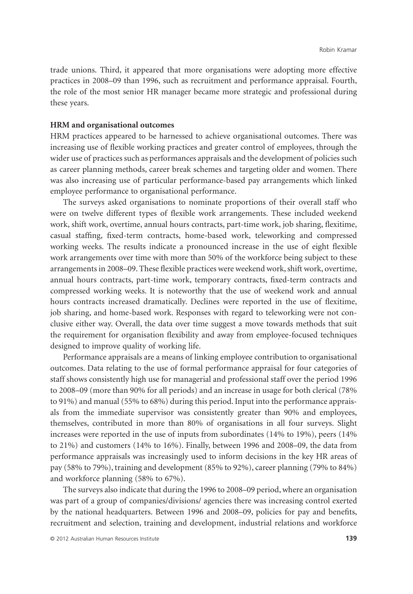trade unions. Third, it appeared that more organisations were adopting more effective practices in 2008–09 than 1996, such as recruitment and performance appraisal. Fourth, the role of the most senior HR manager became more strategic and professional during these years.

### **HRM and organisational outcomes**

HRM practices appeared to be harnessed to achieve organisational outcomes. There was increasing use of flexible working practices and greater control of employees, through the wider use of practices such as performances appraisals and the development of policies such as career planning methods, career break schemes and targeting older and women. There was also increasing use of particular performance-based pay arrangements which linked employee performance to organisational performance.

The surveys asked organisations to nominate proportions of their overall staff who were on twelve different types of flexible work arrangements. These included weekend work, shift work, overtime, annual hours contracts, part-time work, job sharing, flexitime, casual staffing, fixed-term contracts, home-based work, teleworking and compressed working weeks. The results indicate a pronounced increase in the use of eight flexible work arrangements over time with more than 50% of the workforce being subject to these arrangements in 2008–09. These flexible practices were weekend work, shift work, overtime, annual hours contracts, part-time work, temporary contracts, fixed-term contracts and compressed working weeks. It is noteworthy that the use of weekend work and annual hours contracts increased dramatically. Declines were reported in the use of flexitime, job sharing, and home-based work. Responses with regard to teleworking were not conclusive either way. Overall, the data over time suggest a move towards methods that suit the requirement for organisation flexibility and away from employee-focused techniques designed to improve quality of working life.

Performance appraisals are a means of linking employee contribution to organisational outcomes. Data relating to the use of formal performance appraisal for four categories of staff shows consistently high use for managerial and professional staff over the period 1996 to 2008–09 (more than 90% for all periods) and an increase in usage for both clerical (78% to 91%) and manual (55% to 68%) during this period. Input into the performance appraisals from the immediate supervisor was consistently greater than 90% and employees, themselves, contributed in more than 80% of organisations in all four surveys. Slight increases were reported in the use of inputs from subordinates (14% to 19%), peers (14% to 21%) and customers (14% to 16%). Finally, between 1996 and 2008–09, the data from performance appraisals was increasingly used to inform decisions in the key HR areas of pay (58% to 79%), training and development (85% to 92%), career planning (79% to 84%) and workforce planning (58% to 67%).

The surveys also indicate that during the 1996 to 2008–09 period, where an organisation was part of a group of companies/divisions/ agencies there was increasing control exerted by the national headquarters. Between 1996 and 2008–09, policies for pay and benefits, recruitment and selection, training and development, industrial relations and workforce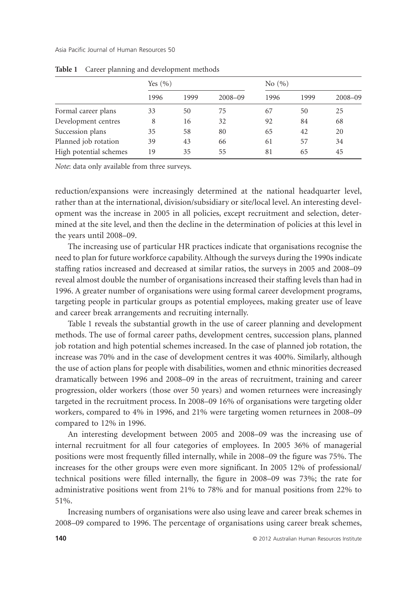Asia Pacific Journal of Human Resources 50

|                        | Yes $(\% )$ |      |             | No $(\% )$ |      |         |  |
|------------------------|-------------|------|-------------|------------|------|---------|--|
|                        | 1996        | 1999 | $2008 - 09$ | 1996       | 1999 | 2008-09 |  |
| Formal career plans    | 33          | 50   | 75          | 67         | 50   | 25      |  |
| Development centres    | 8           | 16   | 32          | 92         | 84   | 68      |  |
| Succession plans       | 35          | 58   | 80          | 65         | 42   | 20      |  |
| Planned job rotation   | 39          | 43   | 66          | 61         | 57   | 34      |  |
| High potential schemes | 19          | 35   | 55          | 81         | 65   | 45      |  |

**Table 1** Career planning and development methods

*Note*: data only available from three surveys.

reduction/expansions were increasingly determined at the national headquarter level, rather than at the international, division/subsidiary or site/local level. An interesting development was the increase in 2005 in all policies, except recruitment and selection, determined at the site level, and then the decline in the determination of policies at this level in the years until 2008–09.

The increasing use of particular HR practices indicate that organisations recognise the need to plan for future workforce capability. Although the surveys during the 1990s indicate staffing ratios increased and decreased at similar ratios, the surveys in 2005 and 2008–09 reveal almost double the number of organisations increased their staffing levels than had in 1996. A greater number of organisations were using formal career development programs, targeting people in particular groups as potential employees, making greater use of leave and career break arrangements and recruiting internally.

Table 1 reveals the substantial growth in the use of career planning and development methods. The use of formal career paths, development centres, succession plans, planned job rotation and high potential schemes increased. In the case of planned job rotation, the increase was 70% and in the case of development centres it was 400%. Similarly, although the use of action plans for people with disabilities, women and ethnic minorities decreased dramatically between 1996 and 2008–09 in the areas of recruitment, training and career progression, older workers (those over 50 years) and women returnees were increasingly targeted in the recruitment process. In 2008–09 16% of organisations were targeting older workers, compared to 4% in 1996, and 21% were targeting women returnees in 2008–09 compared to 12% in 1996.

An interesting development between 2005 and 2008–09 was the increasing use of internal recruitment for all four categories of employees. In 2005 36% of managerial positions were most frequently filled internally, while in 2008–09 the figure was 75%. The increases for the other groups were even more significant. In 2005 12% of professional/ technical positions were filled internally, the figure in 2008–09 was 73%; the rate for administrative positions went from 21% to 78% and for manual positions from 22% to 51%.

Increasing numbers of organisations were also using leave and career break schemes in 2008–09 compared to 1996. The percentage of organisations using career break schemes,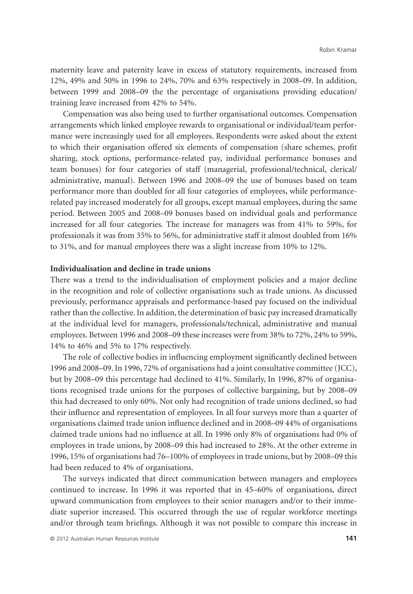maternity leave and paternity leave in excess of statutory requirements, increased from 12%, 49% and 50% in 1996 to 24%, 70% and 63% respectively in 2008–09. In addition, between 1999 and 2008–09 the the percentage of organisations providing education/ training leave increased from 42% to 54%.

Compensation was also being used to further organisational outcomes. Compensation arrangements which linked employee rewards to organisational or individual/team performance were increasingly used for all employees. Respondents were asked about the extent to which their organisation offered six elements of compensation (share schemes, profit sharing, stock options, performance-related pay, individual performance bonuses and team bonuses) for four categories of staff (managerial, professional/technical, clerical/ administrative, manual). Between 1996 and 2008–09 the use of bonuses based on team performance more than doubled for all four categories of employees, while performancerelated pay increased moderately for all groups, except manual employees, during the same period. Between 2005 and 2008–09 bonuses based on individual goals and performance increased for all four categories. The increase for managers was from 41% to 59%, for professionals it was from 35% to 56%, for administrative staff it almost doubled from 16% to 31%, and for manual employees there was a slight increase from 10% to 12%.

### **Individualisation and decline in trade unions**

There was a trend to the individualisation of employment policies and a major decline in the recognition and role of collective organisations such as trade unions. As discussed previously, performance appraisals and performance-based pay focused on the individual rather than the collective. In addition, the determination of basic pay increased dramatically at the individual level for managers, professionals/technical, administrative and manual employees. Between 1996 and 2008–09 these increases were from 38% to 72%, 24% to 59%, 14% to 46% and 5% to 17% respectively.

The role of collective bodies in influencing employment significantly declined between 1996 and 2008–09. In 1996, 72% of organisations had a joint consultative committee (JCC), but by 2008–09 this percentage had declined to 41%. Similarly, In 1996, 87% of organisations recognised trade unions for the purposes of collective bargaining, but by 2008–09 this had decreased to only 60%. Not only had recognition of trade unions declined, so had their influence and representation of employees. In all four surveys more than a quarter of organisations claimed trade union influence declined and in 2008–09 44% of organisations claimed trade unions had no influence at all. In 1996 only 8% of organisations had 0% of employees in trade unions, by 2008–09 this had increased to 28%. At the other extreme in 1996, 15% of organisations had 76–100% of employees in trade unions, but by 2008–09 this had been reduced to 4% of organisations.

The surveys indicated that direct communication between managers and employees continued to increase. In 1996 it was reported that in 45–60% of organisations, direct upward communication from employees to their senior managers and/or to their immediate superior increased. This occurred through the use of regular workforce meetings and/or through team briefings. Although it was not possible to compare this increase in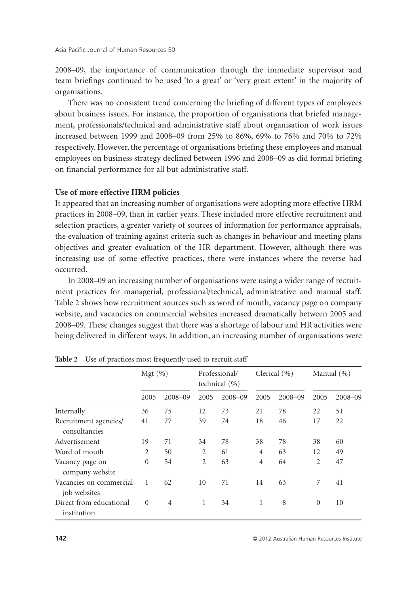2008–09, the importance of communication through the immediate supervisor and team briefings continued to be used 'to a great' or 'very great extent' in the majority of organisations.

There was no consistent trend concerning the briefing of different types of employees about business issues. For instance, the proportion of organisations that briefed management, professionals/technical and administrative staff about organisation of work issues increased between 1999 and 2008–09 from 25% to 86%, 69% to 76% and 70% to 72% respectively. However, the percentage of organisations briefing these employees and manual employees on business strategy declined between 1996 and 2008–09 as did formal briefing on financial performance for all but administrative staff.

#### **Use of more effective HRM policies**

It appeared that an increasing number of organisations were adopting more effective HRM practices in 2008–09, than in earlier years. These included more effective recruitment and selection practices, a greater variety of sources of information for performance appraisals, the evaluation of training against criteria such as changes in behaviour and meeting plans objectives and greater evaluation of the HR department. However, although there was increasing use of some effective practices, there were instances where the reverse had occurred.

In 2008–09 an increasing number of organisations were using a wider range of recruitment practices for managerial, professional/technical, administrative and manual staff. Table 2 shows how recruitment sources such as word of mouth, vacancy page on company website, and vacancies on commercial websites increased dramatically between 2005 and 2008–09. These changes suggest that there was a shortage of labour and HR activities were being delivered in different ways. In addition, an increasing number of organisations were

|                                         | Mgt $(\% )$    |         |      | Professional/<br>technical (%) | Clerical $(\% )$ |             | Manual $(\% )$ |         |
|-----------------------------------------|----------------|---------|------|--------------------------------|------------------|-------------|----------------|---------|
|                                         | 2005           | 2008-09 | 2005 | 2008-09                        | 2005             | $2008 - 09$ | 2005           | 2008-09 |
| Internally                              | 36             | 75      | 12   | 73                             | 21               | 78          | 22             | 51      |
| Recruitment agencies/<br>consultancies  | 41             | 77      | 39   | 74                             | 18               | 46          | 17             | 22      |
| Advertisement                           | 19             | 71      | 34   | 78                             | 38               | 78          | 38             | 60      |
| Word of mouth                           | 2              | 50      | 2    | 61                             | $\overline{4}$   | 63          | 12             | 49      |
| Vacancy page on<br>company website      | $\overline{0}$ | 54      | 2    | 63                             | $\overline{4}$   | 64          | 2              | 47      |
| Vacancies on commercial<br>job websites | 1              | 62      | 10   | 71                             | 14               | 63          | 7              | 41      |
| Direct from educational<br>institution  | $\Omega$       | 4       | 1    | 34                             | 1                | 8           | $\Omega$       | 10      |

**Table 2** Use of practices most frequently used to recruit staff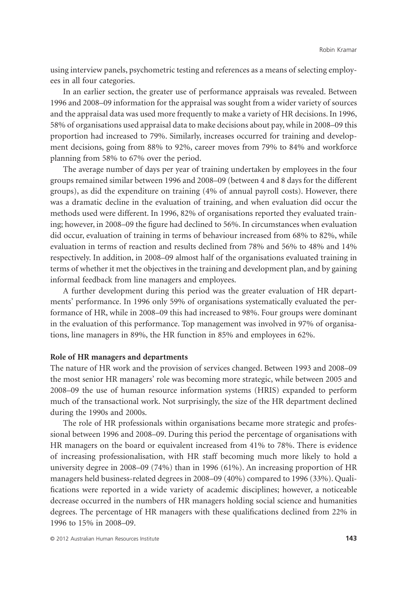using interview panels, psychometric testing and references as a means of selecting employees in all four categories.

In an earlier section, the greater use of performance appraisals was revealed. Between 1996 and 2008–09 information for the appraisal was sought from a wider variety of sources and the appraisal data was used more frequently to make a variety of HR decisions. In 1996, 58% of organisations used appraisal data to make decisions about pay, while in 2008–09 this proportion had increased to 79%. Similarly, increases occurred for training and development decisions, going from 88% to 92%, career moves from 79% to 84% and workforce planning from 58% to 67% over the period.

The average number of days per year of training undertaken by employees in the four groups remained similar between 1996 and 2008–09 (between 4 and 8 days for the different groups), as did the expenditure on training (4% of annual payroll costs). However, there was a dramatic decline in the evaluation of training, and when evaluation did occur the methods used were different. In 1996, 82% of organisations reported they evaluated training; however, in 2008–09 the figure had declined to 56%. In circumstances when evaluation did occur, evaluation of training in terms of behaviour increased from 68% to 82%, while evaluation in terms of reaction and results declined from 78% and 56% to 48% and 14% respectively. In addition, in 2008–09 almost half of the organisations evaluated training in terms of whether it met the objectives in the training and development plan, and by gaining informal feedback from line managers and employees.

A further development during this period was the greater evaluation of HR departments' performance. In 1996 only 59% of organisations systematically evaluated the performance of HR, while in 2008–09 this had increased to 98%. Four groups were dominant in the evaluation of this performance. Top management was involved in 97% of organisations, line managers in 89%, the HR function in 85% and employees in 62%.

#### **Role of HR managers and departments**

The nature of HR work and the provision of services changed. Between 1993 and 2008–09 the most senior HR managers' role was becoming more strategic, while between 2005 and 2008–09 the use of human resource information systems (HRIS) expanded to perform much of the transactional work. Not surprisingly, the size of the HR department declined during the 1990s and 2000s.

The role of HR professionals within organisations became more strategic and professional between 1996 and 2008–09. During this period the percentage of organisations with HR managers on the board or equivalent increased from 41% to 78%. There is evidence of increasing professionalisation, with HR staff becoming much more likely to hold a university degree in 2008–09 (74%) than in 1996 (61%). An increasing proportion of HR managers held business-related degrees in 2008–09 (40%) compared to 1996 (33%). Qualifications were reported in a wide variety of academic disciplines; however, a noticeable decrease occurred in the numbers of HR managers holding social science and humanities degrees. The percentage of HR managers with these qualifications declined from 22% in 1996 to 15% in 2008–09.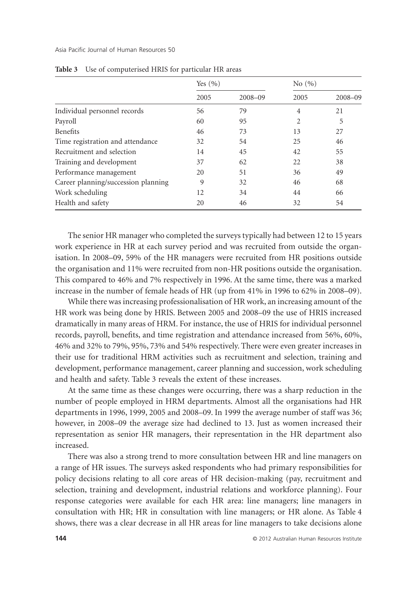Asia Pacific Journal of Human Resources 50

|                                     | Yes $(\% )$ |             | No $(\% )$     |         |
|-------------------------------------|-------------|-------------|----------------|---------|
|                                     | 2005        | $2008 - 09$ | 2005           | 2008-09 |
| Individual personnel records        | 56          | 79          | $\overline{4}$ | 21      |
| Payroll                             | 60          | 95          | 2              | 5       |
| <b>Benefits</b>                     | 46          | 73          | 13             | 27      |
| Time registration and attendance    | 32          | 54          | 25             | 46      |
| Recruitment and selection           | 14          | 45          | 42             | 55      |
| Training and development            | 37          | 62          | 22             | 38      |
| Performance management              | 20          | 51          | 36             | 49      |
| Career planning/succession planning | 9           | 32          | 46             | 68      |
| Work scheduling                     | 12          | 34          | 44             | 66      |
| Health and safety                   | 20          | 46          | 32             | 54      |

**Table 3** Use of computerised HRIS for particular HR areas

The senior HR manager who completed the surveys typically had between 12 to 15 years work experience in HR at each survey period and was recruited from outside the organisation. In 2008–09, 59% of the HR managers were recruited from HR positions outside the organisation and 11% were recruited from non-HR positions outside the organisation. This compared to 46% and 7% respectively in 1996. At the same time, there was a marked increase in the number of female heads of HR (up from 41% in 1996 to 62% in 2008–09).

While there was increasing professionalisation of HR work, an increasing amount of the HR work was being done by HRIS. Between 2005 and 2008–09 the use of HRIS increased dramatically in many areas of HRM. For instance, the use of HRIS for individual personnel records, payroll, benefits, and time registration and attendance increased from 56%, 60%, 46% and 32% to 79%, 95%, 73% and 54% respectively. There were even greater increases in their use for traditional HRM activities such as recruitment and selection, training and development, performance management, career planning and succession, work scheduling and health and safety. Table 3 reveals the extent of these increases.

At the same time as these changes were occurring, there was a sharp reduction in the number of people employed in HRM departments. Almost all the organisations had HR departments in 1996, 1999, 2005 and 2008–09. In 1999 the average number of staff was 36; however, in 2008–09 the average size had declined to 13. Just as women increased their representation as senior HR managers, their representation in the HR department also increased.

There was also a strong trend to more consultation between HR and line managers on a range of HR issues. The surveys asked respondents who had primary responsibilities for policy decisions relating to all core areas of HR decision-making (pay, recruitment and selection, training and development, industrial relations and workforce planning). Four response categories were available for each HR area: line managers; line managers in consultation with HR; HR in consultation with line managers; or HR alone. As Table 4 shows, there was a clear decrease in all HR areas for line managers to take decisions alone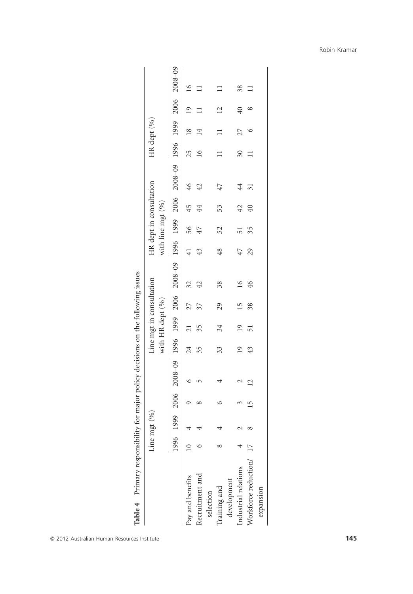| lot account of client that the control of the second control of the component of the component of the component of the component of the component of the component of the component of the component of the component of the c |  |
|--------------------------------------------------------------------------------------------------------------------------------------------------------------------------------------------------------------------------------|--|
| ֧֚֚֚֚֚֚֚֚֚֚֚֚֚֚֚֚֚֝֝֓ <b>֓</b><br>I                                                                                                                                                                                            |  |
| Ī                                                                                                                                                                                                                              |  |

|                      |   | ĺ            |                |              |                |                                              |    |               |    |                   |                         |                                                                                            |                  |                |                 |          |
|----------------------|---|--------------|----------------|--------------|----------------|----------------------------------------------|----|---------------|----|-------------------|-------------------------|--------------------------------------------------------------------------------------------|------------------|----------------|-----------------|----------|
|                      |   | Line mgt (%) |                |              |                | Line mgt in consultation<br>with HR dept (%) |    |               |    | with line mgt (%) | HR dept in consultation |                                                                                            | $HR$ dept $(\%)$ |                |                 |          |
|                      | I |              |                |              |                |                                              |    |               |    |                   |                         | 60-8002 9002 6661 9661 60-8002 9002 6661 9661 60-8002 9002 6661 9661 60-8002 9002 6661 966 |                  |                |                 |          |
| Pay and benefits     |   |              |                |              | 24             |                                              | 27 |               |    | 56                | 45                      | 46                                                                                         |                  | $\frac{8}{18}$ | 19<br>16        |          |
| Recruitment and      |   |              |                |              | 35             |                                              |    | 42            | 43 | 47                | 44                      | 42                                                                                         |                  |                |                 |          |
| selection            |   |              |                |              |                |                                              |    |               |    |                   |                         |                                                                                            |                  |                |                 |          |
| Iraining and         |   |              | G              |              | 33             | 34                                           | 29 | 38            | 48 | 52                | 53                      | 47                                                                                         | $\frac{1}{2}$    | $\equiv$       | $\overline{a}$  | $\equiv$ |
| development          |   |              |                |              |                |                                              |    |               |    |                   |                         |                                                                                            |                  |                |                 |          |
| Industrial relations |   |              |                |              | $\overline{1}$ | $\overline{1}$                               |    | $\frac{1}{6}$ | 47 |                   | 42                      | 44                                                                                         | $\overline{30}$  | 27             | $\overline{40}$ | 38       |
| Workforce reduction/ |   |              | $\overline{5}$ | $\mathbf{C}$ | 43             |                                              | 38 | 46            | 29 | 35                | $\mathfrak{q}$          |                                                                                            |                  |                | ∝               |          |
| expansion            |   |              |                |              |                |                                              |    |               |    |                   |                         |                                                                                            |                  |                |                 |          |
|                      |   |              |                |              |                |                                              |    |               |    |                   |                         |                                                                                            |                  |                |                 |          |

Robin Kramar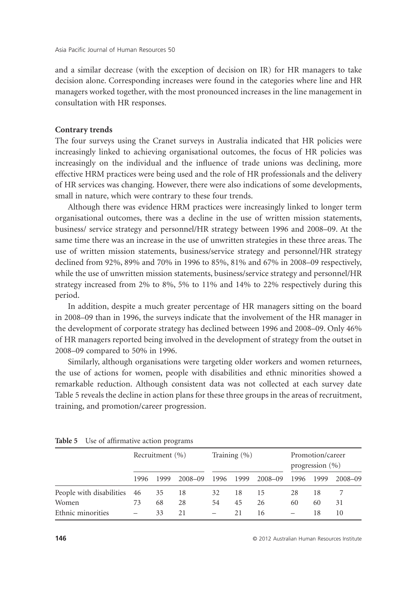and a similar decrease (with the exception of decision on IR) for HR managers to take decision alone. Corresponding increases were found in the categories where line and HR managers worked together, with the most pronounced increases in the line management in consultation with HR responses.

## **Contrary trends**

The four surveys using the Cranet surveys in Australia indicated that HR policies were increasingly linked to achieving organisational outcomes, the focus of HR policies was increasingly on the individual and the influence of trade unions was declining, more effective HRM practices were being used and the role of HR professionals and the delivery of HR services was changing. However, there were also indications of some developments, small in nature, which were contrary to these four trends.

Although there was evidence HRM practices were increasingly linked to longer term organisational outcomes, there was a decline in the use of written mission statements, business/ service strategy and personnel/HR strategy between 1996 and 2008–09. At the same time there was an increase in the use of unwritten strategies in these three areas. The use of written mission statements, business/service strategy and personnel/HR strategy declined from 92%, 89% and 70% in 1996 to 85%, 81% and 67% in 2008–09 respectively, while the use of unwritten mission statements, business/service strategy and personnel/HR strategy increased from 2% to 8%, 5% to 11% and 14% to 22% respectively during this period.

In addition, despite a much greater percentage of HR managers sitting on the board in 2008–09 than in 1996, the surveys indicate that the involvement of the HR manager in the development of corporate strategy has declined between 1996 and 2008–09. Only 46% of HR managers reported being involved in the development of strategy from the outset in 2008–09 compared to 50% in 1996.

Similarly, although organisations were targeting older workers and women returnees, the use of actions for women, people with disabilities and ethnic minorities showed a remarkable reduction. Although consistent data was not collected at each survey date Table 5 reveals the decline in action plans for these three groups in the areas of recruitment, training, and promotion/career progression.

|                          |      | Recruitment $(\% )$ |         |      | Training (%) |         |      | Promotion/career<br>progression $(\% )$ |         |
|--------------------------|------|---------------------|---------|------|--------------|---------|------|-----------------------------------------|---------|
|                          | 1996 | 1999                | 2008-09 | 1996 | 1999         | 2008-09 | 1996 | 1999                                    | 2008-09 |
| People with disabilities | 46   | 35                  | 18      | 32   | 18           | 15      | 28   | 18                                      |         |
| Women                    | 73   | 68                  | 28      | 54   | 45           | 26      | 60   | 60                                      | 31      |
| Ethnic minorities        |      | 33                  | 21      |      | 21           | 16      |      | 18                                      | 10      |

**Table 5** Use of affirmative action programs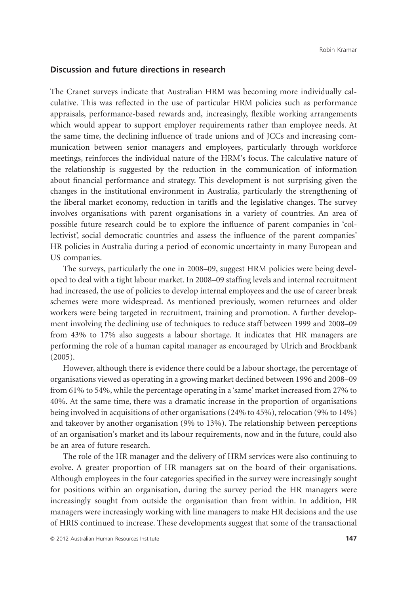#### **Discussion and future directions in research**

The Cranet surveys indicate that Australian HRM was becoming more individually calculative. This was reflected in the use of particular HRM policies such as performance appraisals, performance-based rewards and, increasingly, flexible working arrangements which would appear to support employer requirements rather than employee needs. At the same time, the declining influence of trade unions and of JCCs and increasing communication between senior managers and employees, particularly through workforce meetings, reinforces the individual nature of the HRM's focus. The calculative nature of the relationship is suggested by the reduction in the communication of information about financial performance and strategy. This development is not surprising given the changes in the institutional environment in Australia, particularly the strengthening of the liberal market economy, reduction in tariffs and the legislative changes. The survey involves organisations with parent organisations in a variety of countries. An area of possible future research could be to explore the influence of parent companies in 'collectivist', social democratic countries and assess the influence of the parent companies' HR policies in Australia during a period of economic uncertainty in many European and US companies.

The surveys, particularly the one in 2008–09, suggest HRM policies were being developed to deal with a tight labour market. In 2008–09 staffing levels and internal recruitment had increased, the use of policies to develop internal employees and the use of career break schemes were more widespread. As mentioned previously, women returnees and older workers were being targeted in recruitment, training and promotion. A further development involving the declining use of techniques to reduce staff between 1999 and 2008–09 from 43% to 17% also suggests a labour shortage. It indicates that HR managers are performing the role of a human capital manager as encouraged by Ulrich and Brockbank (2005).

However, although there is evidence there could be a labour shortage, the percentage of organisations viewed as operating in a growing market declined between 1996 and 2008–09 from 61% to 54%, while the percentage operating in a 'same' market increased from 27% to 40%. At the same time, there was a dramatic increase in the proportion of organisations being involved in acquisitions of other organisations (24% to 45%), relocation (9% to 14%) and takeover by another organisation (9% to 13%). The relationship between perceptions of an organisation's market and its labour requirements, now and in the future, could also be an area of future research.

The role of the HR manager and the delivery of HRM services were also continuing to evolve. A greater proportion of HR managers sat on the board of their organisations. Although employees in the four categories specified in the survey were increasingly sought for positions within an organisation, during the survey period the HR managers were increasingly sought from outside the organisation than from within. In addition, HR managers were increasingly working with line managers to make HR decisions and the use of HRIS continued to increase. These developments suggest that some of the transactional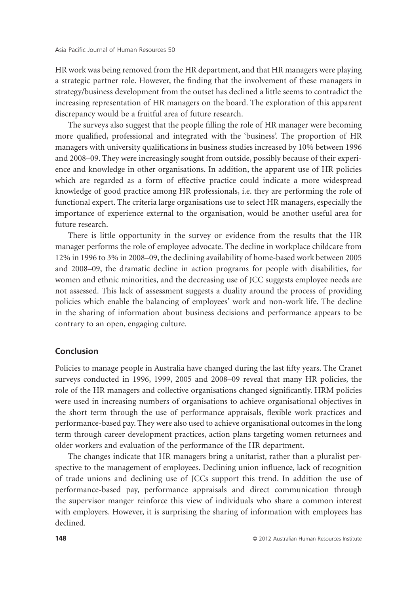HR work was being removed from the HR department, and that HR managers were playing a strategic partner role. However, the finding that the involvement of these managers in strategy/business development from the outset has declined a little seems to contradict the increasing representation of HR managers on the board. The exploration of this apparent discrepancy would be a fruitful area of future research.

The surveys also suggest that the people filling the role of HR manager were becoming more qualified, professional and integrated with the 'business'. The proportion of HR managers with university qualifications in business studies increased by 10% between 1996 and 2008–09. They were increasingly sought from outside, possibly because of their experience and knowledge in other organisations. In addition, the apparent use of HR policies which are regarded as a form of effective practice could indicate a more widespread knowledge of good practice among HR professionals, i.e. they are performing the role of functional expert. The criteria large organisations use to select HR managers, especially the importance of experience external to the organisation, would be another useful area for future research.

There is little opportunity in the survey or evidence from the results that the HR manager performs the role of employee advocate. The decline in workplace childcare from 12% in 1996 to 3% in 2008–09, the declining availability of home-based work between 2005 and 2008–09, the dramatic decline in action programs for people with disabilities, for women and ethnic minorities, and the decreasing use of JCC suggests employee needs are not assessed. This lack of assessment suggests a duality around the process of providing policies which enable the balancing of employees' work and non-work life. The decline in the sharing of information about business decisions and performance appears to be contrary to an open, engaging culture.

# **Conclusion**

Policies to manage people in Australia have changed during the last fifty years. The Cranet surveys conducted in 1996, 1999, 2005 and 2008–09 reveal that many HR policies, the role of the HR managers and collective organisations changed significantly. HRM policies were used in increasing numbers of organisations to achieve organisational objectives in the short term through the use of performance appraisals, flexible work practices and performance-based pay. They were also used to achieve organisational outcomes in the long term through career development practices, action plans targeting women returnees and older workers and evaluation of the performance of the HR department.

The changes indicate that HR managers bring a unitarist, rather than a pluralist perspective to the management of employees. Declining union influence, lack of recognition of trade unions and declining use of JCCs support this trend. In addition the use of performance-based pay, performance appraisals and direct communication through the supervisor manger reinforce this view of individuals who share a common interest with employers. However, it is surprising the sharing of information with employees has declined.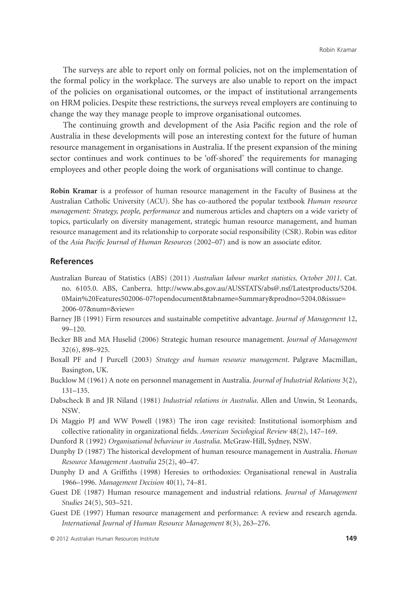The surveys are able to report only on formal policies, not on the implementation of the formal policy in the workplace. The surveys are also unable to report on the impact of the policies on organisational outcomes, or the impact of institutional arrangements on HRM policies. Despite these restrictions, the surveys reveal employers are continuing to change the way they manage people to improve organisational outcomes.

The continuing growth and development of the Asia Pacific region and the role of Australia in these developments will pose an interesting context for the future of human resource management in organisations in Australia. If the present expansion of the mining sector continues and work continues to be 'off-shored' the requirements for managing employees and other people doing the work of organisations will continue to change.

**Robin Kramar** is a professor of human resource management in the Faculty of Business at the Australian Catholic University (ACU). She has co-authored the popular textbook *Human resource management: Strategy, people, performance* and numerous articles and chapters on a wide variety of topics, particularly on diversity management, strategic human resource management, and human resource management and its relationship to corporate social responsibility (CSR). Robin was editor of the *Asia Pacific Journal of Human Resources* (2002–07) and is now an associate editor.

# **References**

- Australian Bureau of Statistics (ABS) (2011) *Australian labour market statistics, October 2011*. Cat. no. 6105.0. ABS, Canberra. http://www.abs.gov.au/AUSSTATS/abs@.nsf/Latestproducts/5204. 0Main%20Features502006-07?opendocument&tabname=Summary&prodno=5204.0&issue= 2006-07&num=&view=
- Barney JB (1991) Firm resources and sustainable competitive advantage. *Journal of Management* 12, 99–120.
- Becker BB and MA Huselid (2006) Strategic human resource management. *Journal of Management* 32(6), 898–925.
- Boxall PF and J Purcell (2003) *Strategy and human resource management*. Palgrave Macmillan, Basington, UK.
- Bucklow M (1961) A note on personnel management in Australia. *Journal of Industrial Relations* 3(2), 131–135.
- Dabscheck B and JR Niland (1981) *Industrial relations in Australia*. Allen and Unwin, St Leonards, NSW.
- Di Maggio PJ and WW Powell (1983) The iron cage revisited: Institutional isomorphism and collective rationality in organizational fields. *American Sociological Review* 48(2), 147–169.
- Dunford R (1992) *Organisational behaviour in Australia*. McGraw-Hill, Sydney, NSW.
- Dunphy D (1987) The historical development of human resource management in Australia. *Human Resource Management Australia* 25(2), 40–47.
- Dunphy D and A Griffiths (1998) Heresies to orthodoxies: Organisational renewal in Australia 1966–1996. *Management Decision* 40(1), 74–81.
- Guest DE (1987) Human resource management and industrial relations. *Journal of Management Studies* 24(5), 503–521.
- Guest DE (1997) Human resource management and performance: A review and research agenda. *International Journal of Human Resource Management* 8(3), 263–276.